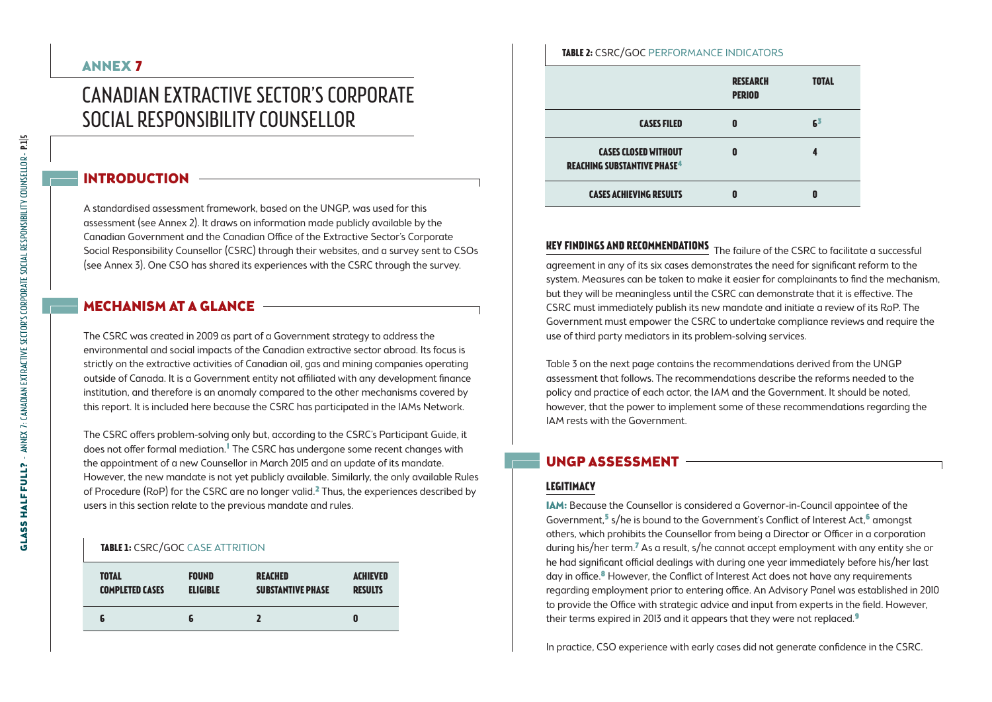# Canadian Extractive Sector's Corporate Social Responsibility Counsellor

### INTRODUCTION

A standardised assessment framework, based on the UNGP, was used for this assessment (see Annex 2). It draws on information made publicly available by the Canadian Government and the Canadian Office of the Extractive Sector's Corporate Social Responsibility Counsellor (CSRC) through their websites, and a survey sent to CSOs (see Annex 3). One CSO has shared its experiences with the CSRC through the survey.

### **MECHANISM AT A GLANCE -**

The CSRC was created in 2009 as part of a Government strategy to address the environmental and social impacts of the Canadian extractive sector abroad. Its focus is strictly on the extractive activities of Canadian oil, gas and mining companies operating outside of Canada. It is a Government entity not affiliated with any development finance institution, and therefore is an anomaly compared to the other mechanisms covered by this report. It is included here because the CSRC has participated in the IAMs Network.

The CSRC offers problem-solving only but, according to the CSRC's Participant Guide, it does not offer formal mediation." The CSRC has undergone some recent changes with the appointment of a new Counsellor in March 2015 and an update of its mandate. However, the new mandate is not yet publicly available. Similarly, the only available Rules of Procedure (RoP) for the CSRC are no longer valid.<sup>2</sup> Thus, the experiences described by users in this section relate to the previous mandate and rules.

#### **Table 1:** CSRC/GoC Case attrition

| <b>TOTAL</b>           | <b>FOUND</b>    | <b>REACHED</b>           | <b>ACHIEVED</b> |
|------------------------|-----------------|--------------------------|-----------------|
| <b>COMPLETED CASES</b> | <b>ELIGIBLE</b> | <b>SUBSTANTIVE PHASE</b> | <b>RESULTS</b>  |
|                        | ю               |                          |                 |

## **Research total Table 2:** CSRC/GoC Performance indicators

|                                                                              | <b>PERIOD</b> |    |
|------------------------------------------------------------------------------|---------------|----|
| <b>CASES FILED</b>                                                           | П             | 63 |
| <b>CASES CLOSED WITHOUT</b><br><b>REACHING SUBSTANTIVE PHASE<sup>4</sup></b> | n             |    |
| <b>CASES ACHIEVING RESULTS</b>                                               |               | Λ  |

**Key findings and recommendations** The failure of the CSRC to facilitate a successful agreement in any of its six cases demonstrates the need for significant reform to the system. Measures can be taken to make it easier for complainants to find the mechanism, but they will be meaningless until the CSRC can demonstrate that it is effective. The CSRC must immediately publish its new mandate and initiate a review of its RoP. The Government must empower the CSRC to undertake compliance reviews and require the use of third party mediators in its problem-solving services.

Table 3 on the next page contains the recommendations derived from the UNGP assessment that follows. The recommendations describe the reforms needed to the policy and practice of each actor, the IAM and the Government. It should be noted, however, that the power to implement some of these recommendations regarding the IAM rests with the Government.

### UNGP Assessment

# **Legitimacy**

IAM: Because the Counsellor is considered a Governor-in-Council appointee of the Government,<sup>5</sup> s/he is bound to the Government's Conflict of Interest Act,<sup>6</sup> amongst others, which prohibits the Counsellor from being a Director or Officer in a corporation during his/her term.<sup>7</sup> As a result, s/he cannot accept employment with any entity she or he had significant official dealings with during one year immediately before his/her last day in office.<sup>8</sup> However, the Conflict of Interest Act does not have any requirements regarding employment prior to entering office. An Advisory Panel was established in 2010 to provide the Office with strategic advice and input from experts in the field. However, their terms expired in 2013 and it appears that they were not replaced.<sup>9</sup>

In practice, CSO experience with early cases did not generate confidence in the CSRC.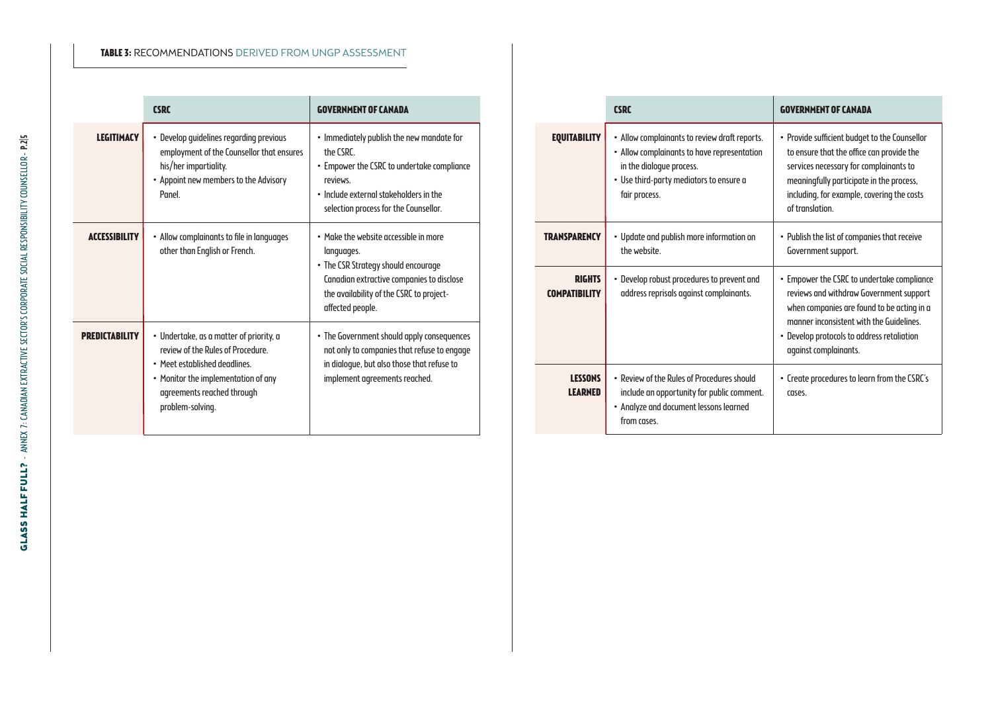#### **Table 3:** Recommendations derived from UNGP assessment

|                      | <b>CSRC</b>                                                                                                                                                                                            | <b>GOVERNMENT OF CANADA</b>                                                                                                                                                                             |
|----------------------|--------------------------------------------------------------------------------------------------------------------------------------------------------------------------------------------------------|---------------------------------------------------------------------------------------------------------------------------------------------------------------------------------------------------------|
| <b>LEGITIMACY</b>    | • Develop guidelines regarding previous<br>employment of the Counsellor that ensures<br>his/her impartiality.<br>• Appoint new members to the Advisory<br>Panel.                                       | • Immediately publish the new mandate for<br>The CSRC<br>• Empower the CSRC to undertake compliance<br>reviews.<br>. Include external stakeholders in the<br>selection process for the Counsellor.      |
| <b>ACCESSIBILITY</b> | • Allow complainants to file in languages<br>other than English or French.                                                                                                                             | . Make the website accessible in more<br>languages.<br>• The CSR Strategy should encourage<br>Canadian extractive companies to disclose<br>the availability of the CSRC to project-<br>affected people. |
| PDFNIſTARII IT\      | · Undertake, as a matter of priority, a<br>review of the Rules of Procedure.<br>• Meet established deadlines.<br>• Monitor the implementation of any<br>agreements reached through<br>problem-solving. | • The Government should apply consequences<br>not only to companies that refuse to engage<br>in dialoque, but also those that refuse to<br>implement agreements reached.                                |

|                                       | <b>CSRC</b>                                                                                                                                                                          | <b>GOVERNMENT OF CANADA</b>                                                                                                                                                                                                                            |
|---------------------------------------|--------------------------------------------------------------------------------------------------------------------------------------------------------------------------------------|--------------------------------------------------------------------------------------------------------------------------------------------------------------------------------------------------------------------------------------------------------|
| <b>EQUITABILITY</b>                   | • Allow complainants to review draft reports.<br>• Allow complainants to have representation<br>in the dialoque process.<br>• Use third-party mediators to ensure a<br>fair process. | • Provide sufficient budget to the Counsellor<br>to ensure that the office can provide the<br>services necessary for complainants to<br>meaningfully participate in the process,<br>including, for example, covering the costs<br>of translation.      |
| <b>TRANSPARENCY</b>                   | • Update and publish more information on<br>the website.                                                                                                                             | • Publish the list of companies that receive<br>Government support.                                                                                                                                                                                    |
| <b>RIGHTS</b><br><b>COMPATIBILITY</b> | • Develop robust procedures to prevent and<br>address reprisals against complainants.                                                                                                | • Empower the CSRC to undertake compliance<br>reviews and withdraw Government support<br>when companies are found to be acting in a<br>manner inconsistent with the Guidelines.<br>• Develop protocols to address retaliation<br>against complainants. |
| <b>LESSONS</b><br><b>LEARNED</b>      | . Review of the Rules of Procedures should<br>include an opportunity for public comment.<br>• Analyze and document lessons learned<br>from cases.                                    | • Create procedures to learn from the CSRC's<br>cases.                                                                                                                                                                                                 |

÷

÷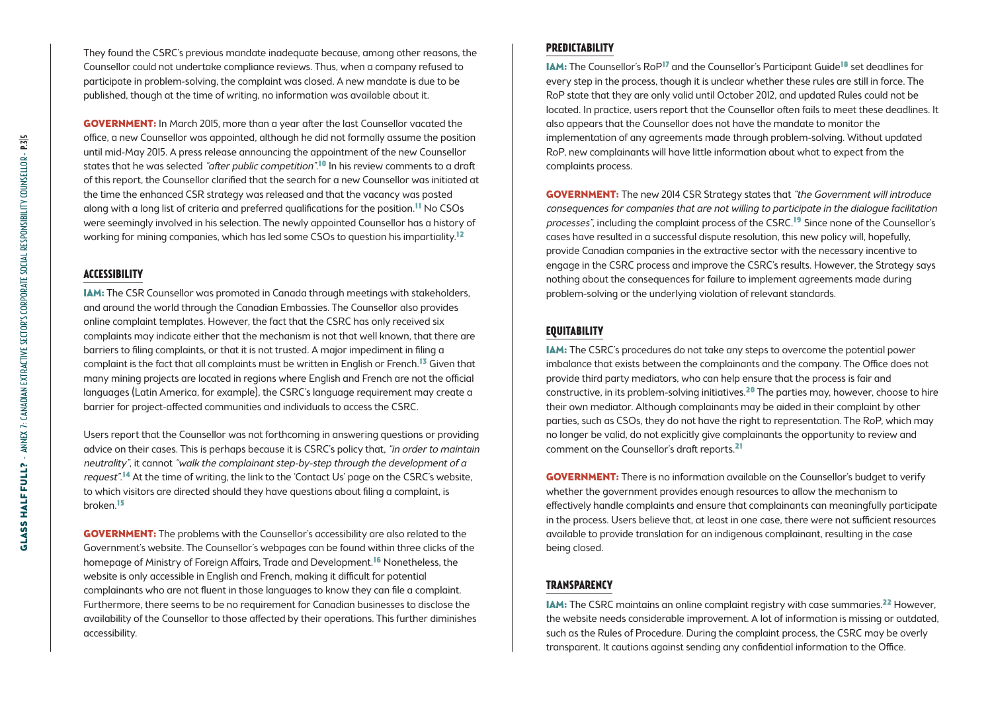They found the CSRC's previous mandate inadequate because, among other reasons, the Counsellor could not undertake compliance reviews. Thus, when a company refused to participate in problem-solving, the complaint was closed. A new mandate is due to be published, though at the time of writing, no information was available about it.

**GOVERNMENT:** In March 2015, more than a year after the last Counsellor vacated the office, a new Counsellor was appointed, although he did not formally assume the position until mid-May 2015. A press release announcing the appointment of the new Counsellor states that he was selected "after public competition".<sup>10</sup> In his review comments to a draft of this report, the Counsellor clarified that the search for a new Counsellor was initiated at the time the enhanced CSR strategy was released and that the vacancy was posted along with a long list of criteria and preferred qualifications for the position.<sup>11</sup> No CSOs were seemingly involved in his selection. The newly appointed Counsellor has a history of working for mining companies, which has led some CSOs to question his impartiality.12

#### **Accessibility**

IAM: The CSR Counsellor was promoted in Canada through meetings with stakeholders, and around the world through the Canadian Embassies. The Counsellor also provides online complaint templates. However, the fact that the CSRC has only received six complaints may indicate either that the mechanism is not that well known, that there are barriers to filing complaints, or that it is not trusted. A major impediment in filing a complaint is the fact that all complaints must be written in English or French.<sup>13</sup> Given that many mining projects are located in regions where English and French are not the official languages (Latin America, for example), the CSRC's language requirement may create a barrier for project-affected communities and individuals to access the CSRC.

Users report that the Counsellor was not forthcoming in answering questions or providing advice on their cases. This is perhaps because it is CSRC's policy that, "in order to maintain neutrality", it cannot "walk the complainant step-by-step through the development of a request".14 At the time of writing, the link to the 'Contact Us' page on the CSRC's website, to which visitors are directed should they have questions about filing a complaint, is broken.15

**GOVERNMENT:** The problems with the Counsellor's accessibility are also related to the Government's website. The Counsellor's webpages can be found within three clicks of the homepage of Ministry of Foreign Affairs, Trade and Development.<sup>16</sup> Nonetheless, the website is only accessible in English and French, making it difficult for potential complainants who are not fluent in those languages to know they can file a complaint. Furthermore, there seems to be no requirement for Canadian businesses to disclose the availability of the Counsellor to those affected by their operations. This further diminishes accessibility.

#### **Predictability**

IAM: The Counsellor's RoP17 and the Counsellor's Participant Guide18 set deadlines for every step in the process, though it is unclear whether these rules are still in force. The RoP state that they are only valid until October 2012, and updated Rules could not be located. In practice, users report that the Counsellor often fails to meet these deadlines. It also appears that the Counsellor does not have the mandate to monitor the implementation of any agreements made through problem-solving. Without updated RoP, new complainants will have little information about what to expect from the complaints process.

**GOVERNMENT:** The new 2014 CSR Strategy states that "the Government will introduce consequences for companies that are not willing to participate in the dialogue facilitation processes", including the complaint process of the CSRC.19 Since none of the Counsellor's cases have resulted in a successful dispute resolution, this new policy will, hopefully, provide Canadian companies in the extractive sector with the necessary incentive to engage in the CSRC process and improve the CSRC's results. However, the Strategy says nothing about the consequences for failure to implement agreements made during problem-solving or the underlying violation of relevant standards.

#### **Equitability**

IAM: The CSRC's procedures do not take any steps to overcome the potential power imbalance that exists between the complainants and the company. The Office does not provide third party mediators, who can help ensure that the process is fair and constructive, in its problem-solving initiatives.20 The parties may, however, choose to hire their own mediator. Although complainants may be aided in their complaint by other parties, such as CSOs, they do not have the right to representation. The RoP, which may no longer be valid, do not explicitly give complainants the opportunity to review and comment on the Counsellor's draft reports.21

**GOVERNMENT:** There is no information available on the Counsellor's budget to verify whether the government provides enough resources to allow the mechanism to effectively handle complaints and ensure that complainants can meaningfully participate in the process. Users believe that, at least in one case, there were not sufficient resources available to provide translation for an indigenous complainant, resulting in the case being closed.

#### **Transparency**

**IAM:** The CSRC maintains an online complaint registry with case summaries.<sup>22</sup> However, the website needs considerable improvement. A lot of information is missing or outdated, such as the Rules of Procedure. During the complaint process, the CSRC may be overly transparent. It cautions against sending any confidential information to the Office.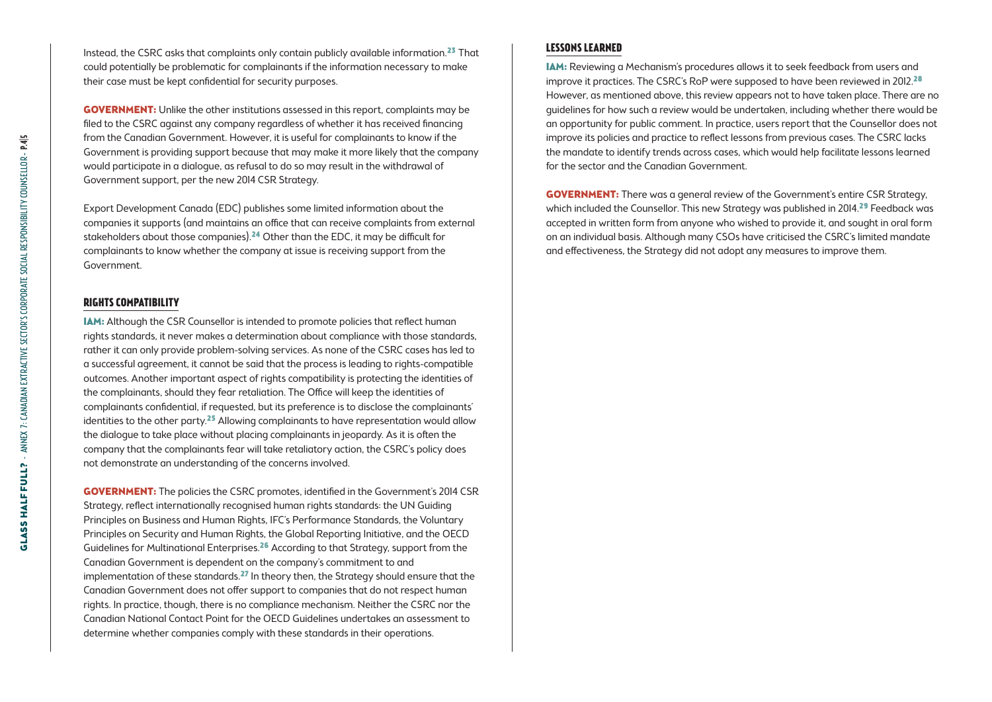Instead, the CSRC asks that complaints only contain publicly available information.<sup>23</sup> That could potentially be problematic for complainants if the information necessary to make their case must be kept confidential for security purposes.

**GOVERNMENT:** Unlike the other institutions assessed in this report, complaints may be filed to the CSRC against any company regardless of whether it has received financing from the Canadian Government. However, it is useful for complainants to know if the Government is providing support because that may make it more likely that the company would participate in a dialogue, as refusal to do so may result in the withdrawal of Government support, per the new 2014 CSR Strategy.

Export Development Canada (EDC) publishes some limited information about the companies it supports (and maintains an office that can receive complaints from external stakeholders about those companies).<sup>24</sup> Other than the EDC, it may be difficult for complainants to know whether the company at issue is receiving support from the Government.

#### **Rights compatibility**

IAM: Although the CSR Counsellor is intended to promote policies that reflect human rights standards, it never makes a determination about compliance with those standards, rather it can only provide problem-solving services. As none of the CSRC cases has led to a successful agreement, it cannot be said that the process is leading to rights-compatible outcomes. Another important aspect of rights compatibility is protecting the identities of the complainants, should they fear retaliation. The Office will keep the identities of complainants confidential, if requested, but its preference is to disclose the complainants' identities to the other party. $25$  Allowing complainants to have representation would allow the dialogue to take place without placing complainants in jeopardy. As it is often the company that the complainants fear will take retaliatory action, the CSRC's policy does not demonstrate an understanding of the concerns involved.

Government: The policies the CSRC promotes, identified in the Government's 2014 CSR Strategy, reflect internationally recognised human rights standards: the UN Guiding Principles on Business and Human Rights, IFC's Performance Standards, the Voluntary Principles on Security and Human Rights, the Global Reporting Initiative, and the OECD Guidelines for Multinational Enterprises.<sup>26</sup> According to that Strategy, support from the Canadian Government is dependent on the company's commitment to and implementation of these standards.<sup>27</sup> In theory then, the Strategy should ensure that the Canadian Government does not offer support to companies that do not respect human rights. In practice, though, there is no compliance mechanism. Neither the CSRC nor the Canadian National Contact Point for the OECD Guidelines undertakes an assessment to determine whether companies comply with these standards in their operations.

#### **Lessons learned**

IAM: Reviewing a Mechanism's procedures allows it to seek feedback from users and improve it practices. The CSRC's RoP were supposed to have been reviewed in 2012.<sup>28</sup> However, as mentioned above, this review appears not to have taken place. There are no guidelines for how such a review would be undertaken, including whether there would be an opportunity for public comment. In practice, users report that the Counsellor does not improve its policies and practice to reflect lessons from previous cases. The CSRC lacks the mandate to identify trends across cases, which would help facilitate lessons learned for the sector and the Canadian Government.

**GOVERNMENT:** There was a general review of the Government's entire CSR Strategy, which included the Counsellor. This new Strategy was published in 2014.<sup>29</sup> Feedback was accepted in written form from anyone who wished to provide it, and sought in oral form on an individual basis. Although many CSOs have criticised the CSRC's limited mandate and effectiveness, the Strategy did not adopt any measures to improve them.